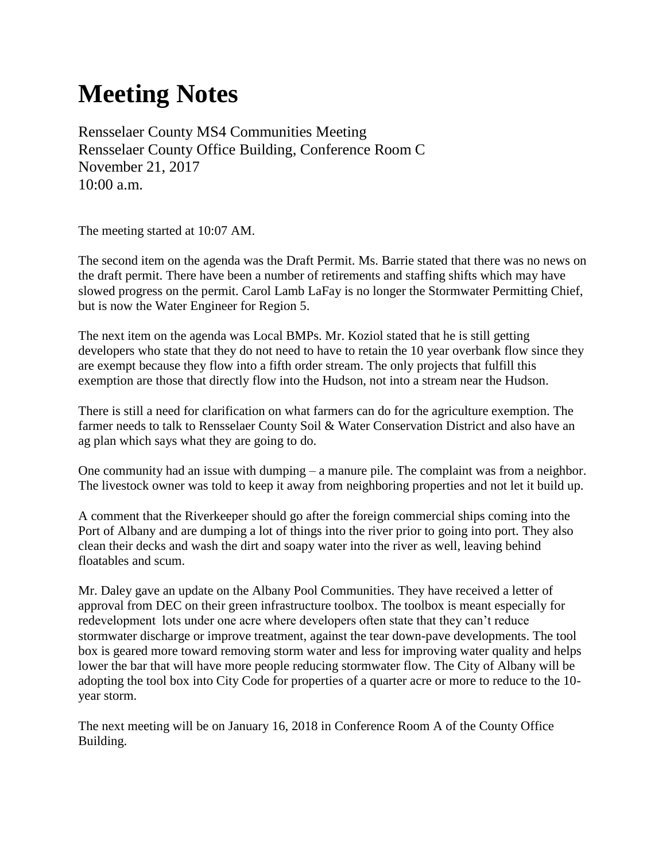## **Meeting Notes**

Rensselaer County MS4 Communities Meeting Rensselaer County Office Building, Conference Room C November 21, 2017 10:00 a.m.

The meeting started at 10:07 AM.

The second item on the agenda was the Draft Permit. Ms. Barrie stated that there was no news on the draft permit. There have been a number of retirements and staffing shifts which may have slowed progress on the permit. Carol Lamb LaFay is no longer the Stormwater Permitting Chief, but is now the Water Engineer for Region 5.

The next item on the agenda was Local BMPs. Mr. Koziol stated that he is still getting developers who state that they do not need to have to retain the 10 year overbank flow since they are exempt because they flow into a fifth order stream. The only projects that fulfill this exemption are those that directly flow into the Hudson, not into a stream near the Hudson.

There is still a need for clarification on what farmers can do for the agriculture exemption. The farmer needs to talk to Rensselaer County Soil & Water Conservation District and also have an ag plan which says what they are going to do.

One community had an issue with dumping – a manure pile. The complaint was from a neighbor. The livestock owner was told to keep it away from neighboring properties and not let it build up.

A comment that the Riverkeeper should go after the foreign commercial ships coming into the Port of Albany and are dumping a lot of things into the river prior to going into port. They also clean their decks and wash the dirt and soapy water into the river as well, leaving behind floatables and scum.

Mr. Daley gave an update on the Albany Pool Communities. They have received a letter of approval from DEC on their green infrastructure toolbox. The toolbox is meant especially for redevelopment lots under one acre where developers often state that they can't reduce stormwater discharge or improve treatment, against the tear down-pave developments. The tool box is geared more toward removing storm water and less for improving water quality and helps lower the bar that will have more people reducing stormwater flow. The City of Albany will be adopting the tool box into City Code for properties of a quarter acre or more to reduce to the 10 year storm.

The next meeting will be on January 16, 2018 in Conference Room A of the County Office Building.